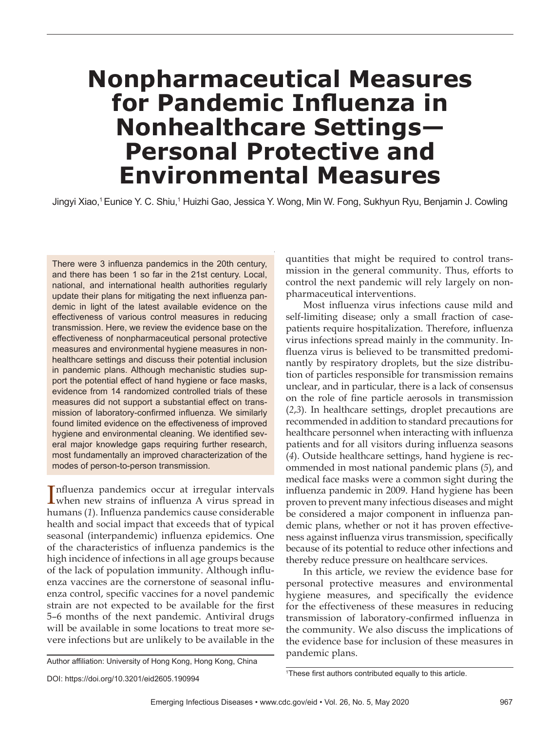# **Nonpharmaceutical Measures for Pandemic Influenza in Nonhealthcare Settings— Personal Protective and Environmental Measures**

Jingyi Xiao,1 Eunice Y. C. Shiu,1 Huizhi Gao, Jessica Y. Wong, Min W. Fong, Sukhyun Ryu, Benjamin J. Cowling

There were 3 influenza pandemics in the 20th century, and there has been 1 so far in the 21st century. Local, national, and international health authorities regularly update their plans for mitigating the next influenza pandemic in light of the latest available evidence on the effectiveness of various control measures in reducing transmission. Here, we review the evidence base on the effectiveness of nonpharmaceutical personal protective measures and environmental hygiene measures in nonhealthcare settings and discuss their potential inclusion in pandemic plans. Although mechanistic studies support the potential effect of hand hygiene or face masks, evidence from 14 randomized controlled trials of these measures did not support a substantial effect on transmission of laboratory-confirmed influenza. We similarly found limited evidence on the effectiveness of improved hygiene and environmental cleaning. We identified several major knowledge gaps requiring further research, most fundamentally an improved characterization of the modes of person-to-person transmission.

Influenza pandemics occur at irregular intervals<br>
when new strains of influenza A virus spread in when new strains of influenza A virus spread in humans (*1*). Influenza pandemics cause considerable health and social impact that exceeds that of typical seasonal (interpandemic) influenza epidemics. One of the characteristics of influenza pandemics is the high incidence of infections in all age groups because of the lack of population immunity. Although influenza vaccines are the cornerstone of seasonal influenza control, specific vaccines for a novel pandemic strain are not expected to be available for the first 5–6 months of the next pandemic. Antiviral drugs will be available in some locations to treat more severe infections but are unlikely to be available in the

Author affiliation: University of Hong Kong, Hong Kong, China

quantities that might be required to control transmission in the general community. Thus, efforts to control the next pandemic will rely largely on nonpharmaceutical interventions.

Most influenza virus infections cause mild and self-limiting disease; only a small fraction of casepatients require hospitalization. Therefore, influenza virus infections spread mainly in the community. Influenza virus is believed to be transmitted predominantly by respiratory droplets, but the size distribution of particles responsible for transmission remains unclear, and in particular, there is a lack of consensus on the role of fine particle aerosols in transmission (*2*,*3*). In healthcare settings, droplet precautions are recommended in addition to standard precautions for healthcare personnel when interacting with influenza patients and for all visitors during influenza seasons (*4*). Outside healthcare settings, hand hygiene is recommended in most national pandemic plans (*5*), and medical face masks were a common sight during the influenza pandemic in 2009. Hand hygiene has been proven to prevent many infectious diseases and might be considered a major component in influenza pandemic plans, whether or not it has proven effectiveness against influenza virus transmission, specifically because of its potential to reduce other infections and thereby reduce pressure on healthcare services.

In this article, we review the evidence base for personal protective measures and environmental hygiene measures, and specifically the evidence for the effectiveness of these measures in reducing transmission of laboratory-confirmed influenza in the community. We also discuss the implications of the evidence base for inclusion of these measures in pandemic plans.

DOI: https://doi.org/10.3201/eid2605.190994 <sup>1</sup>

<sup>&</sup>lt;sup>1</sup>These first authors contributed equally to this article.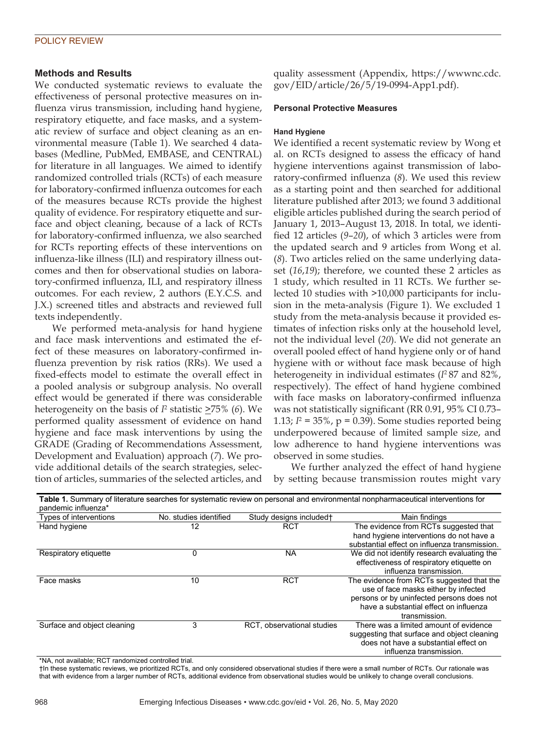# POLICY REVIEW

# **Methods and Results**

We conducted systematic reviews to evaluate the effectiveness of personal protective measures on influenza virus transmission, including hand hygiene, respiratory etiquette, and face masks, and a systematic review of surface and object cleaning as an environmental measure (Table 1). We searched 4 databases (Medline, PubMed, EMBASE, and CENTRAL) for literature in all languages. We aimed to identify randomized controlled trials (RCTs) of each measure for laboratory-confirmed influenza outcomes for each of the measures because RCTs provide the highest quality of evidence. For respiratory etiquette and surface and object cleaning, because of a lack of RCTs for laboratory-confirmed influenza, we also searched for RCTs reporting effects of these interventions on influenza-like illness (ILI) and respiratory illness outcomes and then for observational studies on laboratory-confirmed influenza, ILI, and respiratory illness outcomes. For each review, 2 authors (E.Y.C.S. and J.X.) screened titles and abstracts and reviewed full texts independently.

We performed meta-analysis for hand hygiene and face mask interventions and estimated the effect of these measures on laboratory-confirmed influenza prevention by risk ratios (RRs). We used a fixed-effects model to estimate the overall effect in a pooled analysis or subgroup analysis. No overall effect would be generated if there was considerable heterogeneity on the basis of  $I<sup>2</sup>$  statistic  $\geq$ 75% (6). We performed quality assessment of evidence on hand hygiene and face mask interventions by using the GRADE (Grading of Recommendations Assessment, Development and Evaluation) approach (*7*). We provide additional details of the search strategies, selection of articles, summaries of the selected articles, and

quality assessment (Appendix, https://wwwnc.cdc. gov/EID/article/26/5/19-0994-App1.pdf).

#### **Personal Protective Measures**

#### **Hand Hygiene**

We identified a recent systematic review by Wong et al. on RCTs designed to assess the efficacy of hand hygiene interventions against transmission of laboratory-confirmed influenza (*8*). We used this review as a starting point and then searched for additional literature published after 2013; we found 3 additional eligible articles published during the search period of January 1, 2013–August 13, 2018. In total, we identified 12 articles (*9*–*20*), of which 3 articles were from the updated search and 9 articles from Wong et al. (*8*). Two articles relied on the same underlying dataset (*16*,*19*); therefore, we counted these 2 articles as 1 study, which resulted in 11 RCTs. We further selected 10 studies with >10,000 participants for inclusion in the meta-analysis (Figure 1). We excluded 1 study from the meta-analysis because it provided estimates of infection risks only at the household level, not the individual level (*20*). We did not generate an overall pooled effect of hand hygiene only or of hand hygiene with or without face mask because of high heterogeneity in individual estimates (*I*2 87 and 82%, respectively). The effect of hand hygiene combined with face masks on laboratory-confirmed influenza was not statistically significant (RR 0.91, 95% CI 0.73– 1.13;  $I^2 = 35\%$ ,  $p = 0.39$ ). Some studies reported being underpowered because of limited sample size, and low adherence to hand hygiene interventions was observed in some studies.

We further analyzed the effect of hand hygiene by setting because transmission routes might vary

| pandemic influenza*         |                        |                            | Table 1. Summary of literature searches for systematic review on personal and environmental nonpharmaceutical interventions for |
|-----------------------------|------------------------|----------------------------|---------------------------------------------------------------------------------------------------------------------------------|
| Types of interventions      | No. studies identified | Study designs included†    | Main findings                                                                                                                   |
| Hand hygiene                | 12                     | <b>RCT</b>                 | The evidence from RCTs suggested that                                                                                           |
|                             |                        |                            | hand hygiene interventions do not have a                                                                                        |
|                             |                        |                            | substantial effect on influenza transmission.                                                                                   |
| Respiratory etiquette       | 0                      | <b>NA</b>                  | We did not identify research evaluating the                                                                                     |
|                             |                        |                            | effectiveness of respiratory etiquette on                                                                                       |
|                             |                        |                            | influenza transmission.                                                                                                         |
| Face masks                  | 10                     | <b>RCT</b>                 | The evidence from RCTs suggested that the                                                                                       |
|                             |                        |                            | use of face masks either by infected                                                                                            |
|                             |                        |                            | persons or by uninfected persons does not                                                                                       |
|                             |                        |                            | have a substantial effect on influenza                                                                                          |
|                             |                        |                            | transmission.                                                                                                                   |
| Surface and object cleaning | 3                      | RCT, observational studies | There was a limited amount of evidence                                                                                          |
|                             |                        |                            | suggesting that surface and object cleaning                                                                                     |
|                             |                        |                            | does not have a substantial effect on                                                                                           |
|                             |                        |                            | influenza transmission.                                                                                                         |

\*NA, not available; RCT randomized controlled trial.

†In these systematic reviews, we prioritized RCTs, and only considered observational studies if there were a small number of RCTs. Our rationale was that with evidence from a larger number of RCTs, additional evidence from observational studies would be unlikely to change overall conclusions.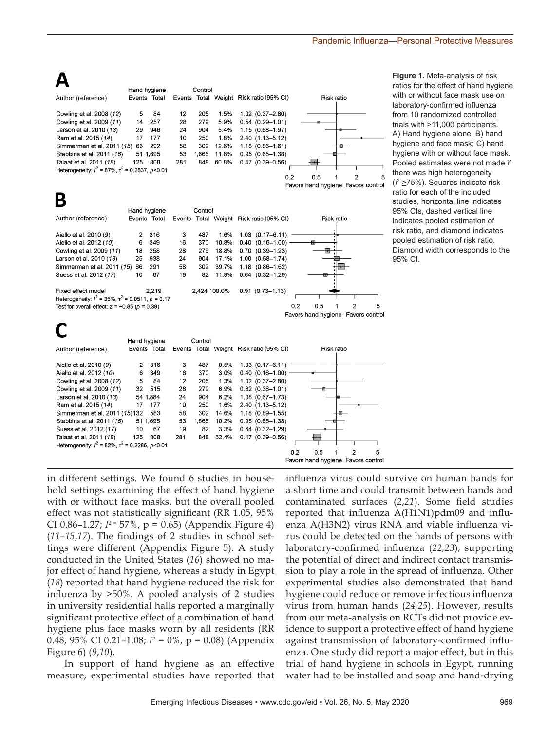|                                                       |     | Hand hygiene |     | Control |       |                                         |                                            |            |   |   |
|-------------------------------------------------------|-----|--------------|-----|---------|-------|-----------------------------------------|--------------------------------------------|------------|---|---|
| Author (reference)                                    |     | Events Total |     |         |       | Events Total Weight Risk ratio (95% CI) |                                            | Risk ratio |   |   |
| Cowling et al. 2008 (12)                              | 5   | 84           | 12  | 205     | 1.5%  | $1.02$ $(0.37 - 2.80)$                  |                                            |            |   |   |
| Cowling et al. 2009 (11)                              | 14  | 257          | 28  | 279     | 5.9%  | $0.54(0.29 - 1.01)$                     |                                            |            |   |   |
| Larson et al. 2010 (13)                               | 29  | 946          | 24  | 904     | 5.4%  | $1.15(0.68 - 1.97)$                     |                                            |            |   |   |
| Ram et al. 2015 (14)                                  | 17  | 177          | 10  | 250     | 1.8%  | $2.40(1.13 - 5.12)$                     |                                            |            |   |   |
| Simmerman et al. 2011 (15)                            | 66  | 292          | 58  | 302     | 12.6% | $1.18(0.86 - 1.61)$                     |                                            |            |   |   |
| Stebbins et al. 2011 (16)                             |     | 51 1,695     | 53  | 1.665   | 11.8% | $0.95(0.65 - 1.38)$                     |                                            |            |   |   |
| Talaat et al. 2011 (18)                               | 125 | 808          | 281 | 848     | 60.8% | $0.47(0.39 - 0.56)$                     |                                            |            |   |   |
| Heterogeneity: $l^2$ = 87%, $\tau^2$ = 0.2837, p<0.01 |     |              |     |         |       |                                         |                                            |            |   |   |
|                                                       |     |              |     |         |       |                                         | 0.2<br>0.5                                 |            | 2 | 5 |
|                                                       |     |              |     |         |       |                                         | <b>Eavors hand hygiene, Eavors control</b> |            |   |   |

 $\mathbf{A}$ 

|  | Favors hand hygiene. Favors cont |  |
|--|----------------------------------|--|

В **Hand hygiene** Control Author (reference) Events Total Total Weight Risk ratio (95% CI) Risk ratio Events Aiello et al. 2010 (9)  $\mathcal{P}$ 316  $\mathbf{3}$ 487 1.6%  $1,03, (0,17-6,11)$ Aiello et al. 2012 (10) 6 349 16 370 10.8%  $0.40$  $(0.16 - 1.00)$ Cowling et al. 2009 (11) 18 258 28 279 18.8%  $0.70$   $(0.39 - 1.23)$ 둅 Larson et al. 2010 (13) 25 938  $24$ 17.1%  $1.00$   $(0.58 - 1.74)$ 904 Simmerman et al. 2011 (15) 66 291 58 302 39.7% 1.18 (0.86-1.62) Suess et al. 2012 (17)  $10$ 67 19 82 11.9%  $0.64$   $(0.32 - 1.29)$ Fixed effect model 2.219 2,424 100.0%  $0.91$   $(0.73 - 1.13)$ Heterogeneity:  $l^2$  = 35%,  $\tau^2$  = 0.0511,  $p$  = 0.17 Test for overall effect:  $z = -0.85$  ( $p = 0.39$ )  $0.2$  $0.5$  $\mathbf{1}$  $\overline{2}$ 5 Favors hand hygiene Favors control

**Figure 1.** Meta-analysis of risk ratios for the effect of hand hygiene with or without face mask use on laboratory-confirmed influenza from 10 randomized controlled trials with >11,000 participants. A) Hand hygiene alone; B) hand hygiene and face mask; C) hand hygiene with or without face mask. Pooled estimates were not made if there was high heterogeneity (*I* <sup>2</sup> >75%). Squares indicate risk ratio for each of the included studies, horizontal line indicates 95% CIs, dashed vertical line indicates pooled estimation of risk ratio, and diamond indicates pooled estimation of risk ratio. Diamond width corresponds to the 95% CI.

|                                                       |     | Hand hygiene |     | Control |       |                                         |     |                                    |            |   |   |
|-------------------------------------------------------|-----|--------------|-----|---------|-------|-----------------------------------------|-----|------------------------------------|------------|---|---|
| Author (reference)                                    |     | Events Total |     |         |       | Events Total Weight Risk ratio (95% CI) |     |                                    | Risk ratio |   |   |
| Aiello et al. 2010 (9)                                | 2   | 316          | 3   | 487     | 0.5%  | $1.03$ $(0.17 - 6.11)$                  |     |                                    |            |   |   |
| Aiello et al. 2012 (10)                               | 6   | 349          | 16  | 370     | 3.0%  | $0.40(0.16 - 1.00)$                     |     |                                    |            |   |   |
| Cowling et al. 2008 (12)                              | 5   | 84           | 12  | 205     | 1.3%  | $1.02$ $(0.37 - 2.80)$                  |     |                                    |            |   |   |
| Cowling et al. 2009 (11)                              | 32  | 515          | 28  | 279     | 6.9%  | $0.62$ $(0.38 - 1.01)$                  |     |                                    |            |   |   |
| Larson et al. 2010 (13)                               |     | 54 1.884     | 24  | 904     | 6.2%  | $1.08$ $(0.67 - 1.73)$                  |     |                                    |            |   |   |
| Ram et al. 2015 (14)                                  | 17  | 177          | 10  | 250     | 1.6%  | 2.40 (1.13-5.12)                        |     |                                    |            |   |   |
| Simmerman et al. 2011 (15)132                         |     | 583          | 58  | 302     | 14.6% | $1.18(0.89 - 1.55)$                     |     |                                    |            |   |   |
| Stebbins et al. 2011 (16)                             |     | 51 1,695     | 53  | 1,665   | 10.2% | $0.95(0.65 - 1.38)$                     |     |                                    |            |   |   |
| Suess et al. 2012 (17)                                | 10  | 67           | 19  | 82      | 3.3%  | $0.64$ $(0.32 - 1.29)$                  |     |                                    |            |   |   |
| Talaat et al. 2011 (18)                               | 125 | 808          | 281 | 848     | 52.4% | $0.47(0.39 - 0.56)$                     |     |                                    |            |   |   |
| Heterogeneity: $l^2$ = 82%, $\tau^2$ = 0.2286, p<0.01 |     |              |     |         |       |                                         |     |                                    |            |   |   |
|                                                       |     |              |     |         |       |                                         | 0.2 | 0.5                                |            | 2 | 5 |
|                                                       |     |              |     |         |       |                                         |     | Favors hand hygiene Favors control |            |   |   |

in different settings. We found 6 studies in household settings examining the effect of hand hygiene with or without face masks, but the overall pooled effect was not statistically significant (RR 1.05, 95% CI 0.86-1.27;  $I^2 = 57\%$ , p = 0.65) (Appendix Figure 4) (*11*–*15*,*17*). The findings of 2 studies in school settings were different (Appendix Figure 5). A study conducted in the United States (*16*) showed no major effect of hand hygiene, whereas a study in Egypt (*18*) reported that hand hygiene reduced the risk for influenza by >50%. A pooled analysis of 2 studies in university residential halls reported a marginally significant protective effect of a combination of hand hygiene plus face masks worn by all residents (RR 0.48, 95% CI 0.21–1.08; *I*<sup>2</sup> = 0%, p = 0.08) (Appendix Figure 6) (*9*,*10*).

In support of hand hygiene as an effective measure, experimental studies have reported that influenza virus could survive on human hands for a short time and could transmit between hands and contaminated surfaces (*2*,*21*). Some field studies reported that influenza A(H1N1)pdm09 and influenza A(H3N2) virus RNA and viable influenza virus could be detected on the hands of persons with laboratory-confirmed influenza (*22,23*), supporting the potential of direct and indirect contact transmission to play a role in the spread of influenza. Other experimental studies also demonstrated that hand hygiene could reduce or remove infectious influenza virus from human hands (*24,25*). However, results from our meta-analysis on RCTs did not provide evidence to support a protective effect of hand hygiene against transmission of laboratory-confirmed influenza. One study did report a major effect, but in this trial of hand hygiene in schools in Egypt, running water had to be installed and soap and hand-drying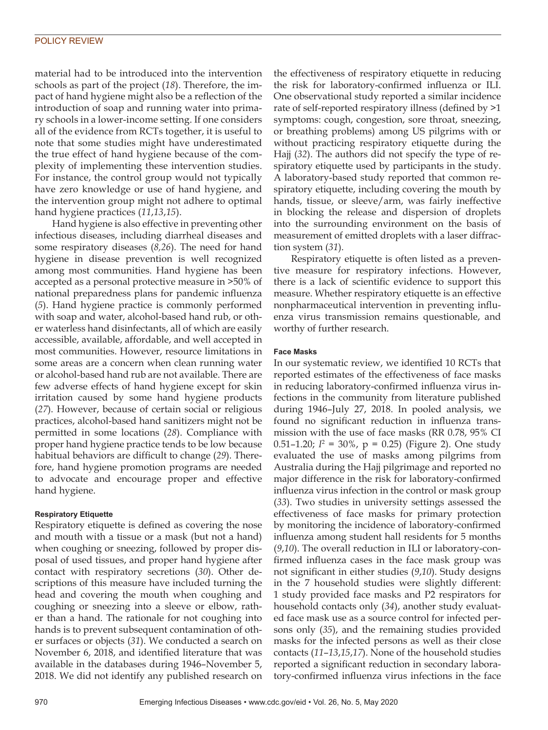material had to be introduced into the intervention schools as part of the project (*18*). Therefore, the impact of hand hygiene might also be a reflection of the introduction of soap and running water into primary schools in a lower-income setting. If one considers all of the evidence from RCTs together, it is useful to note that some studies might have underestimated the true effect of hand hygiene because of the complexity of implementing these intervention studies. For instance, the control group would not typically have zero knowledge or use of hand hygiene, and the intervention group might not adhere to optimal hand hygiene practices (*11*,*13*,*15*).

Hand hygiene is also effective in preventing other infectious diseases, including diarrheal diseases and some respiratory diseases (*8,26*). The need for hand hygiene in disease prevention is well recognized among most communities. Hand hygiene has been accepted as a personal protective measure in >50% of national preparedness plans for pandemic influenza (*5*). Hand hygiene practice is commonly performed with soap and water, alcohol-based hand rub, or other waterless hand disinfectants, all of which are easily accessible, available, affordable, and well accepted in most communities. However, resource limitations in some areas are a concern when clean running water or alcohol-based hand rub are not available. There are few adverse effects of hand hygiene except for skin irritation caused by some hand hygiene products (*27*). However, because of certain social or religious practices, alcohol-based hand sanitizers might not be permitted in some locations (*28*). Compliance with proper hand hygiene practice tends to be low because habitual behaviors are difficult to change (*29*). Therefore, hand hygiene promotion programs are needed to advocate and encourage proper and effective hand hygiene.

### **Respiratory Etiquette**

Respiratory etiquette is defined as covering the nose and mouth with a tissue or a mask (but not a hand) when coughing or sneezing, followed by proper disposal of used tissues, and proper hand hygiene after contact with respiratory secretions (*30*). Other descriptions of this measure have included turning the head and covering the mouth when coughing and coughing or sneezing into a sleeve or elbow, rather than a hand. The rationale for not coughing into hands is to prevent subsequent contamination of other surfaces or objects (*31*). We conducted a search on November 6, 2018, and identified literature that was available in the databases during 1946–November 5, 2018. We did not identify any published research on

the effectiveness of respiratory etiquette in reducing the risk for laboratory-confirmed influenza or ILI. One observational study reported a similar incidence rate of self-reported respiratory illness (defined by >1 symptoms: cough, congestion, sore throat, sneezing, or breathing problems) among US pilgrims with or without practicing respiratory etiquette during the Hajj (*32*). The authors did not specify the type of respiratory etiquette used by participants in the study. A laboratory-based study reported that common respiratory etiquette, including covering the mouth by hands, tissue, or sleeve/arm, was fairly ineffective in blocking the release and dispersion of droplets into the surrounding environment on the basis of measurement of emitted droplets with a laser diffraction system (*31*).

Respiratory etiquette is often listed as a preventive measure for respiratory infections. However, there is a lack of scientific evidence to support this measure. Whether respiratory etiquette is an effective nonpharmaceutical intervention in preventing influenza virus transmission remains questionable, and worthy of further research.

#### **Face Masks**

In our systematic review, we identified 10 RCTs that reported estimates of the effectiveness of face masks in reducing laboratory-confirmed influenza virus infections in the community from literature published during 1946–July 27, 2018. In pooled analysis, we found no significant reduction in influenza transmission with the use of face masks (RR 0.78, 95% CI 0.51–1.20; *I*<sup>2</sup> = 30%, p = 0.25) (Figure 2). One study evaluated the use of masks among pilgrims from Australia during the Hajj pilgrimage and reported no major difference in the risk for laboratory-confirmed influenza virus infection in the control or mask group (*33*). Two studies in university settings assessed the effectiveness of face masks for primary protection by monitoring the incidence of laboratory-confirmed influenza among student hall residents for 5 months (*9*,*10*). The overall reduction in ILI or laboratory-confirmed influenza cases in the face mask group was not significant in either studies (*9*,*10*). Study designs in the 7 household studies were slightly different: 1 study provided face masks and P2 respirators for household contacts only (*34*), another study evaluated face mask use as a source control for infected persons only (*35*), and the remaining studies provided masks for the infected persons as well as their close contacts (*11*–*13*,*15*,*17*). None of the household studies reported a significant reduction in secondary laboratory-confirmed influenza virus infections in the face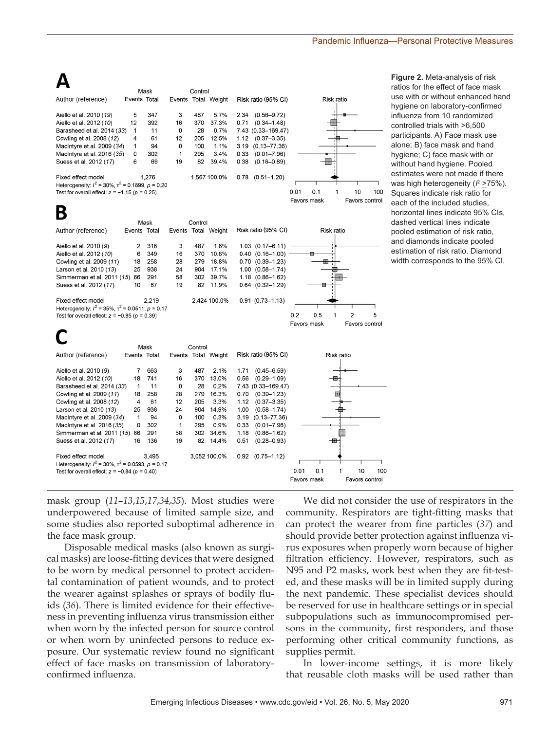|                                                         |              | Mask  |    | Control |                     |      |                        |      |             |            |                |     |
|---------------------------------------------------------|--------------|-------|----|---------|---------------------|------|------------------------|------|-------------|------------|----------------|-----|
| Author (reference)                                      | Events Total |       |    |         | Events Total Weight |      | Risk ratio (95% CI)    |      |             | Risk ratio |                |     |
| Aiello et al. 2010 (19)                                 | 5            | 347   | 3  | 487     | 5.7%                | 2.34 | $(0.56 - 9.72)$        |      |             |            |                |     |
| Aiello et al. 2012 (10)                                 | 12           | 392   | 16 | 370     | 37.3%               |      | $0.71$ $(0.34 - 1.48)$ |      |             |            |                |     |
| Barasheed et al. 2014 (33)                              | 1            | 11    | 0  | 28      | 0.7%                |      | 7.43 (0.33-169.47)     |      |             |            |                |     |
| Cowling et al. 2008 (12)                                | 4            | 61    | 12 | 205     | 12.5%               |      | $1.12$ $(0.37-3.35)$   |      |             |            |                |     |
| MacIntyre et al. 2009 (34)                              | 1            | 94    | 0  | 100     | 1.1%                |      | $3.19(0.13 - 77.36)$   |      |             |            |                |     |
| Macintyre et al. 2016 (35)                              | 0            | 302   | 1  | 295     | 3.4%                | 0.33 | $(0.01 - 7.96)$        |      |             |            |                |     |
| Suess et al. 2012 (17)                                  | 6            | 69    | 19 | 82      | 39.4%               | 0.38 | $(0.16 - 0.89)$        |      |             |            |                |     |
| Fixed effect model                                      |              | 1.276 |    |         | 1.567 100.0%        |      | $0.78$ $(0.51 - 1.20)$ |      |             |            |                |     |
| Heterogeneity: $l^2$ = 30%, $\tau^2$ = 0.1899, p = 0.20 |              |       |    |         |                     |      |                        |      |             |            |                |     |
| Test for overall effect: $z = -1.15$ ( $p = 0.25$ )     |              |       |    |         |                     |      |                        | 0.01 | 0.1         |            | 10             | 100 |
|                                                         |              |       |    |         |                     |      |                        |      | Favors mask |            | Favors control |     |
|                                                         |              |       |    |         |                     |      |                        |      |             |            |                |     |

|                                                           |              | Mask  |    | Control |                     |                        |     |             |            |   |                |
|-----------------------------------------------------------|--------------|-------|----|---------|---------------------|------------------------|-----|-------------|------------|---|----------------|
| Author (reference)                                        | Events Total |       |    |         | Events Total Weight | Risk ratio (95% CI)    |     |             | Risk ratio |   |                |
| Aiello et al. 2010 (9)                                    | 2            | 316   | 3  | 487     | 1.6%                | $1.03$ $(0.17 - 6.11)$ |     |             |            |   |                |
| Aiello et al. 2012 (10)                                   | 6            | 349   | 16 | 370     | 10.8%               | $0.40$ $(0.16 - 1.00)$ |     | 冊           |            |   |                |
| Cowling et al. 2009 (11)                                  | 18           | 258   | 28 | 279     | 18.8%               | $0.70$ $(0.39 - 1.23)$ |     | ▦           |            |   |                |
| Larson et al. 2010 (13)                                   | 25           | 938   | 24 | 904     | 17.1%               | $1.00$ $(0.58 - 1.74)$ |     |             |            |   |                |
| Simmerman et al. 2011 (15)                                | 66           | 291   | 58 |         | 302 39.7%           | $1.18$ $(0.86 - 1.62)$ |     |             |            |   |                |
| Suess et al. 2012 (17)                                    | 10           | 67    | 19 |         | 82 11.9%            | $0.64$ $(0.32 - 1.29)$ |     | ⊞           |            |   |                |
| Fixed effect model                                        |              | 2.219 |    |         | 2.424 100.0%        | $0.91(0.73 - 1.13)$    |     |             |            |   |                |
| Heterogeneity: $l^2$ = 35%, $\tau^2$ = 0.0511, $p$ = 0.17 |              |       |    |         |                     |                        |     |             |            |   |                |
| Test for overall effect: $z = -0.85$ ( $p = 0.39$ )       |              |       |    |         |                     |                        | 0.2 | 0.5         | 1          | 2 | 5              |
|                                                           |              |       |    |         |                     |                        |     | Favors mask |            |   | Favors control |
|                                                           |              |       |    |         |                     |                        |     |             |            |   |                |

Risk ratio (95% CI)

Risk ratio

**Figure 2.** Meta-analysis of risk ratios for the effect of face mask use with or without enhanced hand hygiene on laboratory-confirmed influenza from 10 randomized controlled trials with >6,500 participants. A) Face mask use alone; B) face mask and hand hygiene; C) face mask with or without hand hygiene. Pooled estimates were not made if there was high heterogeneity (*I*² <u>></u>75%). Squares indicate risk ratio for each of the included studies, horizontal lines indicate 95% CIs, dashed vertical lines indicate pooled estimation of risk ratio, and diamonds indicate pooled estimation of risk ratio. Diamond width corresponds to the 95% CI.

|                                                         |    |       |    |     |              |      |                        | Favors mask |     | Favors control |     |
|---------------------------------------------------------|----|-------|----|-----|--------------|------|------------------------|-------------|-----|----------------|-----|
| Test for overall effect: $z = -0.84$ ( $p = 0.40$ )     |    |       |    |     |              |      |                        | 0.01        | 0.1 | 10             | 100 |
| Heterogeneity: $l^2$ = 30%, $\tau^2$ = 0.0593, p = 0.17 |    |       |    |     |              |      |                        |             |     |                |     |
| Fixed effect model                                      |    | 3.495 |    |     | 3.052 100.0% |      | $0.92$ $(0.75 - 1.12)$ |             |     |                |     |
| Suess et al. 2012 (17)                                  | 16 | 136   | 19 |     | 82 14.4%     | 0.51 | $(0.28 - 0.93)$        |             |     |                |     |
| Simmerman et al. 2011 (15)                              | 66 | 291   | 58 |     | 302 34.6%    | 1.18 | $(0.86 - 1.62)$        |             |     |                |     |
| MacIntyre et al. 2016 (35)                              | 0  | 302   |    | 295 | 0.9%         | 0.33 | $(0.01 - 7.96)$        |             |     |                |     |
| MacIntyre et al. 2009 (34)                              |    | 94    | 0  | 100 | 0.3%         |      | $3.19(0.13 - 77.36)$   |             |     |                |     |
| Larson et al. 2010 (13)                                 | 25 | 938   | 24 | 904 | 14.9%        | 1.00 | $(0.58 - 1.74)$        |             |     |                |     |
| Cowling et al. 2008 (12)                                | 4  | 61    | 12 | 205 | 3.3%         | 1.12 | $(0.37 - 3.35)$        |             |     |                |     |
| Cowling et al. 2009 (11)                                | 18 | 258   | 28 | 279 | 16.3%        | 0.70 | $(0.39 - 1.23)$        |             |     |                |     |
| Barasheed et al. 2014 (33)                              |    | 11    | 0  | 28  | 0.2%         |      | 7.43 (0.33-169.47)     |             |     |                |     |
| Aiello et al. 2012 (10)                                 | 18 | 741   | 16 | 370 | 13.0%        | 0.56 | $(0.29 - 1.09)$        |             |     |                |     |
| Aiello et al. 2010 (9)                                  |    | 663   | 3  | 487 | 2.1%         | 1.71 | $(0.45 - 6.59)$        |             |     |                |     |
|                                                         |    |       |    |     |              |      |                        |             |     |                |     |

Control

Events Total Weight

mask group (*11*–*13*,*15*,*17*,*34*,*35*). Most studies were underpowered because of limited sample size, and some studies also reported suboptimal adherence in the face mask group.

Mask

Events Total

Author (reference)

Disposable medical masks (also known as surgical masks) are loose-fitting devices that were designed to be worn by medical personnel to protect accidental contamination of patient wounds, and to protect the wearer against splashes or sprays of bodily fluids (*36*). There is limited evidence for their effectiveness in preventing influenza virus transmission either when worn by the infected person for source control or when worn by uninfected persons to reduce exposure. Our systematic review found no significant effect of face masks on transmission of laboratoryconfirmed influenza.

We did not consider the use of respirators in the community. Respirators are tight-fitting masks that can protect the wearer from fine particles (*37*) and should provide better protection against influenza virus exposures when properly worn because of higher filtration efficiency. However, respirators, such as N95 and P2 masks, work best when they are fit-tested, and these masks will be in limited supply during the next pandemic. These specialist devices should be reserved for use in healthcare settings or in special subpopulations such as immunocompromised persons in the community, first responders, and those performing other critical community functions, as supplies permit.

In lower-income settings, it is more likely that reusable cloth masks will be used rather than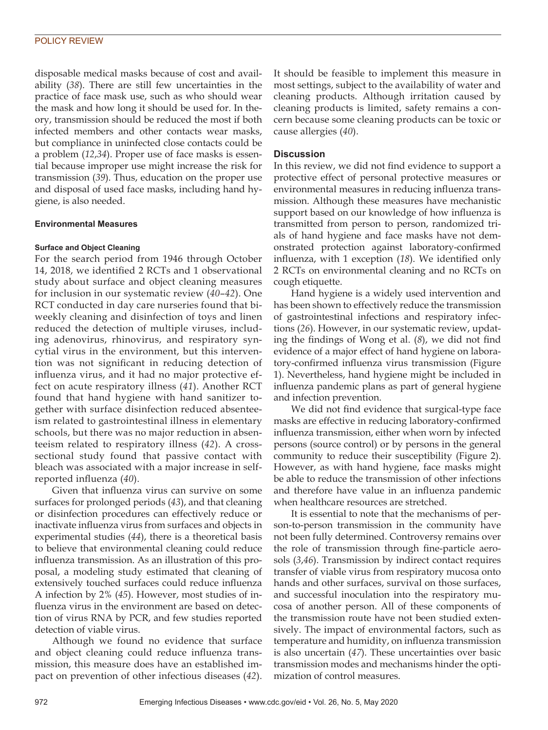#### POLICY REVIEW

disposable medical masks because of cost and availability (*38*). There are still few uncertainties in the practice of face mask use, such as who should wear the mask and how long it should be used for. In theory, transmission should be reduced the most if both infected members and other contacts wear masks, but compliance in uninfected close contacts could be a problem (*12*,*34*). Proper use of face masks is essential because improper use might increase the risk for transmission (*39*). Thus, education on the proper use and disposal of used face masks, including hand hygiene, is also needed.

#### **Environmental Measures**

#### **Surface and Object Cleaning**

For the search period from 1946 through October 14, 2018, we identified 2 RCTs and 1 observational study about surface and object cleaning measures for inclusion in our systematic review (*40*–*42*). One RCT conducted in day care nurseries found that biweekly cleaning and disinfection of toys and linen reduced the detection of multiple viruses, including adenovirus, rhinovirus, and respiratory syncytial virus in the environment, but this intervention was not significant in reducing detection of influenza virus, and it had no major protective effect on acute respiratory illness (*41*). Another RCT found that hand hygiene with hand sanitizer together with surface disinfection reduced absenteeism related to gastrointestinal illness in elementary schools, but there was no major reduction in absenteeism related to respiratory illness (*42*). A crosssectional study found that passive contact with bleach was associated with a major increase in selfreported influenza (*40*).

Given that influenza virus can survive on some surfaces for prolonged periods (*43*), and that cleaning or disinfection procedures can effectively reduce or inactivate influenza virus from surfaces and objects in experimental studies (*44*), there is a theoretical basis to believe that environmental cleaning could reduce influenza transmission. As an illustration of this proposal, a modeling study estimated that cleaning of extensively touched surfaces could reduce influenza A infection by 2% (*45*). However, most studies of influenza virus in the environment are based on detection of virus RNA by PCR, and few studies reported detection of viable virus.

Although we found no evidence that surface and object cleaning could reduce influenza transmission, this measure does have an established impact on prevention of other infectious diseases (*42*).

It should be feasible to implement this measure in most settings, subject to the availability of water and cleaning products. Although irritation caused by cleaning products is limited, safety remains a concern because some cleaning products can be toxic or cause allergies (*40*).

#### **Discussion**

In this review, we did not find evidence to support a protective effect of personal protective measures or environmental measures in reducing influenza transmission. Although these measures have mechanistic support based on our knowledge of how influenza is transmitted from person to person, randomized trials of hand hygiene and face masks have not demonstrated protection against laboratory-confirmed influenza, with 1 exception (*18*). We identified only 2 RCTs on environmental cleaning and no RCTs on cough etiquette.

Hand hygiene is a widely used intervention and has been shown to effectively reduce the transmission of gastrointestinal infections and respiratory infections (*26*). However, in our systematic review, updating the findings of Wong et al. (*8*), we did not find evidence of a major effect of hand hygiene on laboratory-confirmed influenza virus transmission (Figure 1). Nevertheless, hand hygiene might be included in influenza pandemic plans as part of general hygiene and infection prevention.

We did not find evidence that surgical-type face masks are effective in reducing laboratory-confirmed influenza transmission, either when worn by infected persons (source control) or by persons in the general community to reduce their susceptibility (Figure 2). However, as with hand hygiene, face masks might be able to reduce the transmission of other infections and therefore have value in an influenza pandemic when healthcare resources are stretched.

It is essential to note that the mechanisms of person-to-person transmission in the community have not been fully determined. Controversy remains over the role of transmission through fine-particle aerosols (*3*,*46*). Transmission by indirect contact requires transfer of viable virus from respiratory mucosa onto hands and other surfaces, survival on those surfaces, and successful inoculation into the respiratory mucosa of another person. All of these components of the transmission route have not been studied extensively. The impact of environmental factors, such as temperature and humidity, on influenza transmission is also uncertain (*47*). These uncertainties over basic transmission modes and mechanisms hinder the optimization of control measures.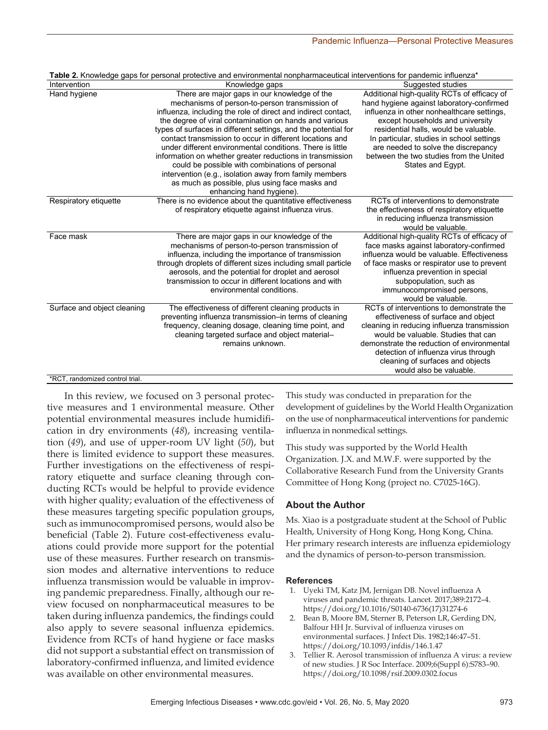| There are major gaps in our knowledge of the<br>Additional high-quality RCTs of efficacy of<br>Hand hygiene<br>mechanisms of person-to-person transmission of<br>hand hygiene against laboratory-confirmed<br>influenza, including the role of direct and indirect contact,<br>influenza in other nonhealthcare settings,<br>the degree of viral contamination on hands and various<br>except households and university<br>types of surfaces in different settings, and the potential for<br>residential halls, would be valuable.<br>contact transmission to occur in different locations and<br>In particular, studies in school settings<br>under different environmental conditions. There is little<br>are needed to solve the discrepancy<br>between the two studies from the United<br>information on whether greater reductions in transmission<br>could be possible with combinations of personal<br>States and Egypt.<br>intervention (e.g., isolation away from family members<br>as much as possible, plus using face masks and<br>enhancing hand hygiene).<br>There is no evidence about the quantitative effectiveness<br>RCTs of interventions to demonstrate<br>Respiratory etiquette<br>of respiratory etiquette against influenza virus.<br>the effectiveness of respiratory etiquette<br>in reducing influenza transmission<br>would be valuable.<br>Additional high-quality RCTs of efficacy of<br>Face mask<br>There are major gaps in our knowledge of the<br>mechanisms of person-to-person transmission of<br>face masks against laboratory-confirmed<br>influenza would be valuable. Effectiveness<br>influenza, including the importance of transmission<br>through droplets of different sizes including small particle<br>of face masks or respirator use to prevent<br>aerosols, and the potential for droplet and aerosol<br>influenza prevention in special<br>transmission to occur in different locations and with<br>subpopulation, such as<br>environmental conditions.<br>immunocompromised persons,<br>would be valuable.<br>RCTs of interventions to demonstrate the<br>Surface and object cleaning<br>The effectiveness of different cleaning products in<br>preventing influenza transmission-in terms of cleaning<br>effectiveness of surface and object<br>frequency, cleaning dosage, cleaning time point, and<br>cleaning in reducing influenza transmission<br>would be valuable. Studies that can<br>cleaning targeted surface and object material-<br>remains unknown.<br>demonstrate the reduction of environmental<br>detection of influenza virus through<br>cleaning of surfaces and objects<br>would also be valuable. | Intervention                    | <b>Table 2.</b> Nilowicuye yaps for personal protective and environmental nonpharmaceutical interventions for pandemic initiatiza<br>Knowledge gaps | Suggested studies |
|----------------------------------------------------------------------------------------------------------------------------------------------------------------------------------------------------------------------------------------------------------------------------------------------------------------------------------------------------------------------------------------------------------------------------------------------------------------------------------------------------------------------------------------------------------------------------------------------------------------------------------------------------------------------------------------------------------------------------------------------------------------------------------------------------------------------------------------------------------------------------------------------------------------------------------------------------------------------------------------------------------------------------------------------------------------------------------------------------------------------------------------------------------------------------------------------------------------------------------------------------------------------------------------------------------------------------------------------------------------------------------------------------------------------------------------------------------------------------------------------------------------------------------------------------------------------------------------------------------------------------------------------------------------------------------------------------------------------------------------------------------------------------------------------------------------------------------------------------------------------------------------------------------------------------------------------------------------------------------------------------------------------------------------------------------------------------------------------------------------------------------------------------------------------------------------------------------------------------------------------------------------------------------------------------------------------------------------------------------------------------------------------------------------------------------------------------------------------------------------------------------------------------------------------------------------------------------------------------------------------------------------------------------------------------|---------------------------------|-----------------------------------------------------------------------------------------------------------------------------------------------------|-------------------|
|                                                                                                                                                                                                                                                                                                                                                                                                                                                                                                                                                                                                                                                                                                                                                                                                                                                                                                                                                                                                                                                                                                                                                                                                                                                                                                                                                                                                                                                                                                                                                                                                                                                                                                                                                                                                                                                                                                                                                                                                                                                                                                                                                                                                                                                                                                                                                                                                                                                                                                                                                                                                                                                                            |                                 |                                                                                                                                                     |                   |
|                                                                                                                                                                                                                                                                                                                                                                                                                                                                                                                                                                                                                                                                                                                                                                                                                                                                                                                                                                                                                                                                                                                                                                                                                                                                                                                                                                                                                                                                                                                                                                                                                                                                                                                                                                                                                                                                                                                                                                                                                                                                                                                                                                                                                                                                                                                                                                                                                                                                                                                                                                                                                                                                            |                                 |                                                                                                                                                     |                   |
|                                                                                                                                                                                                                                                                                                                                                                                                                                                                                                                                                                                                                                                                                                                                                                                                                                                                                                                                                                                                                                                                                                                                                                                                                                                                                                                                                                                                                                                                                                                                                                                                                                                                                                                                                                                                                                                                                                                                                                                                                                                                                                                                                                                                                                                                                                                                                                                                                                                                                                                                                                                                                                                                            |                                 |                                                                                                                                                     |                   |
|                                                                                                                                                                                                                                                                                                                                                                                                                                                                                                                                                                                                                                                                                                                                                                                                                                                                                                                                                                                                                                                                                                                                                                                                                                                                                                                                                                                                                                                                                                                                                                                                                                                                                                                                                                                                                                                                                                                                                                                                                                                                                                                                                                                                                                                                                                                                                                                                                                                                                                                                                                                                                                                                            |                                 |                                                                                                                                                     |                   |
|                                                                                                                                                                                                                                                                                                                                                                                                                                                                                                                                                                                                                                                                                                                                                                                                                                                                                                                                                                                                                                                                                                                                                                                                                                                                                                                                                                                                                                                                                                                                                                                                                                                                                                                                                                                                                                                                                                                                                                                                                                                                                                                                                                                                                                                                                                                                                                                                                                                                                                                                                                                                                                                                            |                                 |                                                                                                                                                     |                   |
|                                                                                                                                                                                                                                                                                                                                                                                                                                                                                                                                                                                                                                                                                                                                                                                                                                                                                                                                                                                                                                                                                                                                                                                                                                                                                                                                                                                                                                                                                                                                                                                                                                                                                                                                                                                                                                                                                                                                                                                                                                                                                                                                                                                                                                                                                                                                                                                                                                                                                                                                                                                                                                                                            |                                 |                                                                                                                                                     |                   |
|                                                                                                                                                                                                                                                                                                                                                                                                                                                                                                                                                                                                                                                                                                                                                                                                                                                                                                                                                                                                                                                                                                                                                                                                                                                                                                                                                                                                                                                                                                                                                                                                                                                                                                                                                                                                                                                                                                                                                                                                                                                                                                                                                                                                                                                                                                                                                                                                                                                                                                                                                                                                                                                                            |                                 |                                                                                                                                                     |                   |
|                                                                                                                                                                                                                                                                                                                                                                                                                                                                                                                                                                                                                                                                                                                                                                                                                                                                                                                                                                                                                                                                                                                                                                                                                                                                                                                                                                                                                                                                                                                                                                                                                                                                                                                                                                                                                                                                                                                                                                                                                                                                                                                                                                                                                                                                                                                                                                                                                                                                                                                                                                                                                                                                            |                                 |                                                                                                                                                     |                   |
|                                                                                                                                                                                                                                                                                                                                                                                                                                                                                                                                                                                                                                                                                                                                                                                                                                                                                                                                                                                                                                                                                                                                                                                                                                                                                                                                                                                                                                                                                                                                                                                                                                                                                                                                                                                                                                                                                                                                                                                                                                                                                                                                                                                                                                                                                                                                                                                                                                                                                                                                                                                                                                                                            |                                 |                                                                                                                                                     |                   |
|                                                                                                                                                                                                                                                                                                                                                                                                                                                                                                                                                                                                                                                                                                                                                                                                                                                                                                                                                                                                                                                                                                                                                                                                                                                                                                                                                                                                                                                                                                                                                                                                                                                                                                                                                                                                                                                                                                                                                                                                                                                                                                                                                                                                                                                                                                                                                                                                                                                                                                                                                                                                                                                                            |                                 |                                                                                                                                                     |                   |
|                                                                                                                                                                                                                                                                                                                                                                                                                                                                                                                                                                                                                                                                                                                                                                                                                                                                                                                                                                                                                                                                                                                                                                                                                                                                                                                                                                                                                                                                                                                                                                                                                                                                                                                                                                                                                                                                                                                                                                                                                                                                                                                                                                                                                                                                                                                                                                                                                                                                                                                                                                                                                                                                            |                                 |                                                                                                                                                     |                   |
|                                                                                                                                                                                                                                                                                                                                                                                                                                                                                                                                                                                                                                                                                                                                                                                                                                                                                                                                                                                                                                                                                                                                                                                                                                                                                                                                                                                                                                                                                                                                                                                                                                                                                                                                                                                                                                                                                                                                                                                                                                                                                                                                                                                                                                                                                                                                                                                                                                                                                                                                                                                                                                                                            |                                 |                                                                                                                                                     |                   |
|                                                                                                                                                                                                                                                                                                                                                                                                                                                                                                                                                                                                                                                                                                                                                                                                                                                                                                                                                                                                                                                                                                                                                                                                                                                                                                                                                                                                                                                                                                                                                                                                                                                                                                                                                                                                                                                                                                                                                                                                                                                                                                                                                                                                                                                                                                                                                                                                                                                                                                                                                                                                                                                                            |                                 |                                                                                                                                                     |                   |
|                                                                                                                                                                                                                                                                                                                                                                                                                                                                                                                                                                                                                                                                                                                                                                                                                                                                                                                                                                                                                                                                                                                                                                                                                                                                                                                                                                                                                                                                                                                                                                                                                                                                                                                                                                                                                                                                                                                                                                                                                                                                                                                                                                                                                                                                                                                                                                                                                                                                                                                                                                                                                                                                            |                                 |                                                                                                                                                     |                   |
|                                                                                                                                                                                                                                                                                                                                                                                                                                                                                                                                                                                                                                                                                                                                                                                                                                                                                                                                                                                                                                                                                                                                                                                                                                                                                                                                                                                                                                                                                                                                                                                                                                                                                                                                                                                                                                                                                                                                                                                                                                                                                                                                                                                                                                                                                                                                                                                                                                                                                                                                                                                                                                                                            |                                 |                                                                                                                                                     |                   |
|                                                                                                                                                                                                                                                                                                                                                                                                                                                                                                                                                                                                                                                                                                                                                                                                                                                                                                                                                                                                                                                                                                                                                                                                                                                                                                                                                                                                                                                                                                                                                                                                                                                                                                                                                                                                                                                                                                                                                                                                                                                                                                                                                                                                                                                                                                                                                                                                                                                                                                                                                                                                                                                                            |                                 |                                                                                                                                                     |                   |
|                                                                                                                                                                                                                                                                                                                                                                                                                                                                                                                                                                                                                                                                                                                                                                                                                                                                                                                                                                                                                                                                                                                                                                                                                                                                                                                                                                                                                                                                                                                                                                                                                                                                                                                                                                                                                                                                                                                                                                                                                                                                                                                                                                                                                                                                                                                                                                                                                                                                                                                                                                                                                                                                            |                                 |                                                                                                                                                     |                   |
|                                                                                                                                                                                                                                                                                                                                                                                                                                                                                                                                                                                                                                                                                                                                                                                                                                                                                                                                                                                                                                                                                                                                                                                                                                                                                                                                                                                                                                                                                                                                                                                                                                                                                                                                                                                                                                                                                                                                                                                                                                                                                                                                                                                                                                                                                                                                                                                                                                                                                                                                                                                                                                                                            |                                 |                                                                                                                                                     |                   |
|                                                                                                                                                                                                                                                                                                                                                                                                                                                                                                                                                                                                                                                                                                                                                                                                                                                                                                                                                                                                                                                                                                                                                                                                                                                                                                                                                                                                                                                                                                                                                                                                                                                                                                                                                                                                                                                                                                                                                                                                                                                                                                                                                                                                                                                                                                                                                                                                                                                                                                                                                                                                                                                                            |                                 |                                                                                                                                                     |                   |
|                                                                                                                                                                                                                                                                                                                                                                                                                                                                                                                                                                                                                                                                                                                                                                                                                                                                                                                                                                                                                                                                                                                                                                                                                                                                                                                                                                                                                                                                                                                                                                                                                                                                                                                                                                                                                                                                                                                                                                                                                                                                                                                                                                                                                                                                                                                                                                                                                                                                                                                                                                                                                                                                            |                                 |                                                                                                                                                     |                   |
|                                                                                                                                                                                                                                                                                                                                                                                                                                                                                                                                                                                                                                                                                                                                                                                                                                                                                                                                                                                                                                                                                                                                                                                                                                                                                                                                                                                                                                                                                                                                                                                                                                                                                                                                                                                                                                                                                                                                                                                                                                                                                                                                                                                                                                                                                                                                                                                                                                                                                                                                                                                                                                                                            |                                 |                                                                                                                                                     |                   |
|                                                                                                                                                                                                                                                                                                                                                                                                                                                                                                                                                                                                                                                                                                                                                                                                                                                                                                                                                                                                                                                                                                                                                                                                                                                                                                                                                                                                                                                                                                                                                                                                                                                                                                                                                                                                                                                                                                                                                                                                                                                                                                                                                                                                                                                                                                                                                                                                                                                                                                                                                                                                                                                                            |                                 |                                                                                                                                                     |                   |
|                                                                                                                                                                                                                                                                                                                                                                                                                                                                                                                                                                                                                                                                                                                                                                                                                                                                                                                                                                                                                                                                                                                                                                                                                                                                                                                                                                                                                                                                                                                                                                                                                                                                                                                                                                                                                                                                                                                                                                                                                                                                                                                                                                                                                                                                                                                                                                                                                                                                                                                                                                                                                                                                            |                                 |                                                                                                                                                     |                   |
|                                                                                                                                                                                                                                                                                                                                                                                                                                                                                                                                                                                                                                                                                                                                                                                                                                                                                                                                                                                                                                                                                                                                                                                                                                                                                                                                                                                                                                                                                                                                                                                                                                                                                                                                                                                                                                                                                                                                                                                                                                                                                                                                                                                                                                                                                                                                                                                                                                                                                                                                                                                                                                                                            |                                 |                                                                                                                                                     |                   |
|                                                                                                                                                                                                                                                                                                                                                                                                                                                                                                                                                                                                                                                                                                                                                                                                                                                                                                                                                                                                                                                                                                                                                                                                                                                                                                                                                                                                                                                                                                                                                                                                                                                                                                                                                                                                                                                                                                                                                                                                                                                                                                                                                                                                                                                                                                                                                                                                                                                                                                                                                                                                                                                                            |                                 |                                                                                                                                                     |                   |
|                                                                                                                                                                                                                                                                                                                                                                                                                                                                                                                                                                                                                                                                                                                                                                                                                                                                                                                                                                                                                                                                                                                                                                                                                                                                                                                                                                                                                                                                                                                                                                                                                                                                                                                                                                                                                                                                                                                                                                                                                                                                                                                                                                                                                                                                                                                                                                                                                                                                                                                                                                                                                                                                            |                                 |                                                                                                                                                     |                   |
|                                                                                                                                                                                                                                                                                                                                                                                                                                                                                                                                                                                                                                                                                                                                                                                                                                                                                                                                                                                                                                                                                                                                                                                                                                                                                                                                                                                                                                                                                                                                                                                                                                                                                                                                                                                                                                                                                                                                                                                                                                                                                                                                                                                                                                                                                                                                                                                                                                                                                                                                                                                                                                                                            |                                 |                                                                                                                                                     |                   |
|                                                                                                                                                                                                                                                                                                                                                                                                                                                                                                                                                                                                                                                                                                                                                                                                                                                                                                                                                                                                                                                                                                                                                                                                                                                                                                                                                                                                                                                                                                                                                                                                                                                                                                                                                                                                                                                                                                                                                                                                                                                                                                                                                                                                                                                                                                                                                                                                                                                                                                                                                                                                                                                                            |                                 |                                                                                                                                                     |                   |
|                                                                                                                                                                                                                                                                                                                                                                                                                                                                                                                                                                                                                                                                                                                                                                                                                                                                                                                                                                                                                                                                                                                                                                                                                                                                                                                                                                                                                                                                                                                                                                                                                                                                                                                                                                                                                                                                                                                                                                                                                                                                                                                                                                                                                                                                                                                                                                                                                                                                                                                                                                                                                                                                            |                                 |                                                                                                                                                     |                   |
|                                                                                                                                                                                                                                                                                                                                                                                                                                                                                                                                                                                                                                                                                                                                                                                                                                                                                                                                                                                                                                                                                                                                                                                                                                                                                                                                                                                                                                                                                                                                                                                                                                                                                                                                                                                                                                                                                                                                                                                                                                                                                                                                                                                                                                                                                                                                                                                                                                                                                                                                                                                                                                                                            |                                 |                                                                                                                                                     |                   |
|                                                                                                                                                                                                                                                                                                                                                                                                                                                                                                                                                                                                                                                                                                                                                                                                                                                                                                                                                                                                                                                                                                                                                                                                                                                                                                                                                                                                                                                                                                                                                                                                                                                                                                                                                                                                                                                                                                                                                                                                                                                                                                                                                                                                                                                                                                                                                                                                                                                                                                                                                                                                                                                                            |                                 |                                                                                                                                                     |                   |
|                                                                                                                                                                                                                                                                                                                                                                                                                                                                                                                                                                                                                                                                                                                                                                                                                                                                                                                                                                                                                                                                                                                                                                                                                                                                                                                                                                                                                                                                                                                                                                                                                                                                                                                                                                                                                                                                                                                                                                                                                                                                                                                                                                                                                                                                                                                                                                                                                                                                                                                                                                                                                                                                            |                                 |                                                                                                                                                     |                   |
|                                                                                                                                                                                                                                                                                                                                                                                                                                                                                                                                                                                                                                                                                                                                                                                                                                                                                                                                                                                                                                                                                                                                                                                                                                                                                                                                                                                                                                                                                                                                                                                                                                                                                                                                                                                                                                                                                                                                                                                                                                                                                                                                                                                                                                                                                                                                                                                                                                                                                                                                                                                                                                                                            |                                 |                                                                                                                                                     |                   |
|                                                                                                                                                                                                                                                                                                                                                                                                                                                                                                                                                                                                                                                                                                                                                                                                                                                                                                                                                                                                                                                                                                                                                                                                                                                                                                                                                                                                                                                                                                                                                                                                                                                                                                                                                                                                                                                                                                                                                                                                                                                                                                                                                                                                                                                                                                                                                                                                                                                                                                                                                                                                                                                                            | *RCT, randomized control trial. |                                                                                                                                                     |                   |

**Table 2.** Knowledge gaps for personal protective and environmental nonpharmaceutical interventions for pandemic influenza\*

In this review, we focused on 3 personal protective measures and 1 environmental measure. Other potential environmental measures include humidification in dry environments (*48*), increasing ventilation (*49*), and use of upper-room UV light (*50*), but there is limited evidence to support these measures. Further investigations on the effectiveness of respiratory etiquette and surface cleaning through conducting RCTs would be helpful to provide evidence with higher quality; evaluation of the effectiveness of these measures targeting specific population groups, such as immunocompromised persons, would also be beneficial (Table 2). Future cost-effectiveness evaluations could provide more support for the potential use of these measures. Further research on transmission modes and alternative interventions to reduce influenza transmission would be valuable in improving pandemic preparedness. Finally, although our review focused on nonpharmaceutical measures to be taken during influenza pandemics, the findings could also apply to severe seasonal influenza epidemics. Evidence from RCTs of hand hygiene or face masks did not support a substantial effect on transmission of laboratory-confirmed influenza, and limited evidence was available on other environmental measures.

This study was conducted in preparation for the development of guidelines by the World Health Organization on the use of nonpharmaceutical interventions for pandemic influenza in nonmedical settings.

This study was supported by the World Health Organization. J.X. and M.W.F. were supported by the Collaborative Research Fund from the University Grants Committee of Hong Kong (project no. C7025-16G).

# **About the Author**

Ms. Xiao is a postgraduate student at the School of Public Health, University of Hong Kong, Hong Kong, China. Her primary research interests are influenza epidemiology and the dynamics of person-to-person transmission.

#### **References**

- 1. Uyeki TM, Katz JM, Jernigan DB. Novel influenza A viruses and pandemic threats. Lancet. 2017;389:2172–4. https://doi.org/10.1016/S0140-6736(17)31274-6
- 2. Bean B, Moore BM, Sterner B, Peterson LR, Gerding DN, Balfour HH Jr. Survival of influenza viruses on environmental surfaces. J Infect Dis. 1982;146:47–51. https://doi.org/10.1093/infdis/146.1.47
- 3. Tellier R. Aerosol transmission of influenza A virus: a review of new studies. J R Soc Interface. 2009;6(Suppl 6):S783–90. https://doi.org/10.1098/rsif.2009.0302.focus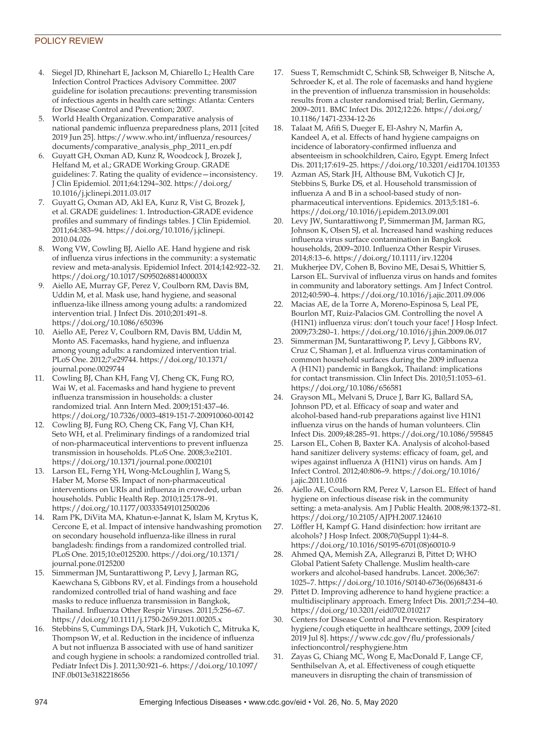## POLICY REVIEW

- 4. Siegel JD, Rhinehart E, Jackson M, Chiarello L; Health Care Infection Control Practices Advisory Committee. 2007 guideline for isolation precautions: preventing transmission of infectious agents in health care settings: Atlanta: Centers for Disease Control and Prevention; 2007.
- 5. World Health Organization. Comparative analysis of national pandemic influenza preparedness plans, 2011 [cited 2019 Jun 25]. https://www.who.int/influenza/resources/ documents/comparative\_analysis\_php\_2011\_en.pdf
- 6. Guyatt GH, Oxman AD, Kunz R, Woodcock J, Brozek J, Helfand M, et al.; GRADE Working Group. GRADE guidelines: 7. Rating the quality of evidence—inconsistency. J Clin Epidemiol. 2011;64:1294–302. https://doi.org/ 10.1016/j.jclinepi.2011.03.017
- 7. Guyatt G, Oxman AD, Akl EA, Kunz R, Vist G, Brozek J, et al. GRADE guidelines: 1. Introduction-GRADE evidence profiles and summary of findings tables. J Clin Epidemiol. 2011;64:383–94. https://doi.org/10.1016/j.jclinepi. 2010.04.026
- 8. Wong VW, Cowling BJ, Aiello AE. Hand hygiene and risk of influenza virus infections in the community: a systematic review and meta-analysis. Epidemiol Infect. 2014;142:922–32. https://doi.org/10.1017/S095026881400003X
- 9. Aiello AE, Murray GF, Perez V, Coulborn RM, Davis BM, Uddin M, et al. Mask use, hand hygiene, and seasonal influenza-like illness among young adults: a randomized intervention trial. J Infect Dis. 2010;201:491–8. https://doi.org/10.1086/650396
- 10. Aiello AE, Perez V, Coulborn RM, Davis BM, Uddin M, Monto AS. Facemasks, hand hygiene, and influenza among young adults: a randomized intervention trial. PLoS One. 2012;7:e29744. https://doi.org/10.1371/ journal.pone.0029744
- 11. Cowling BJ, Chan KH, Fang VJ, Cheng CK, Fung RO, Wai W, et al. Facemasks and hand hygiene to prevent influenza transmission in households: a cluster randomized trial. Ann Intern Med. 2009;151:437–46. https://doi.org/10.7326/0003-4819-151-7-200910060-00142
- 12. Cowling BJ, Fung RO, Cheng CK, Fang VJ, Chan KH, Seto WH, et al. Preliminary findings of a randomized trial of non-pharmaceutical interventions to prevent influenza transmission in households. PLoS One. 2008;3:e2101. https://doi.org/10.1371/journal.pone.0002101
- 13. Larson EL, Ferng YH, Wong-McLoughlin J, Wang S, Haber M, Morse SS. Impact of non-pharmaceutical interventions on URIs and influenza in crowded, urban households. Public Health Rep. 2010;125:178–91. https://doi.org/10.1177/003335491012500206
- 14. Ram PK, DiVita MA, Khatun-e-Jannat K, Islam M, Krytus K, Cercone E, et al. Impact of intensive handwashing promotion on secondary household influenza-like illness in rural bangladesh: findings from a randomized controlled trial. PLoS One. 2015;10:e0125200. https://doi.org/10.1371/ journal.pone.0125200
- 15. Simmerman JM, Suntarattiwong P, Levy J, Jarman RG, Kaewchana S, Gibbons RV, et al. Findings from a household randomized controlled trial of hand washing and face masks to reduce influenza transmission in Bangkok, Thailand. Influenza Other Respir Viruses. 2011;5:256–67. https://doi.org/10.1111/j.1750-2659.2011.00205.x
- 16. Stebbins S, Cummings DA, Stark JH, Vukotich C, Mitruka K, Thompson W, et al. Reduction in the incidence of influenza A but not influenza B associated with use of hand sanitizer and cough hygiene in schools: a randomized controlled trial. Pediatr Infect Dis J. 2011;30:921–6. https://doi.org/10.1097/ INF.0b013e3182218656
- 17. Suess T, Remschmidt C, Schink SB, Schweiger B, Nitsche A, Schroeder K, et al. The role of facemasks and hand hygiene in the prevention of influenza transmission in households: results from a cluster randomised trial; Berlin, Germany, 2009–2011. BMC Infect Dis. 2012;12:26. https://doi.org/ 10.1186/1471-2334-12-26
- 18. Talaat M, Afifi S, Dueger E, El-Ashry N, Marfin A, Kandeel A, et al. Effects of hand hygiene campaigns on incidence of laboratory-confirmed influenza and absenteeism in schoolchildren, Cairo, Egypt. Emerg Infect Dis. 2011;17:619–25. https://doi.org/10.3201/eid1704.101353
- 19. Azman AS, Stark JH, Althouse BM, Vukotich CJ Jr, Stebbins S, Burke DS, et al. Household transmission of influenza A and B in a school-based study of nonpharmaceutical interventions. Epidemics. 2013;5:181–6. https://doi.org/10.1016/j.epidem.2013.09.001
- 20. Levy JW, Suntarattiwong P, Simmerman JM, Jarman RG, Johnson K, Olsen SJ, et al. Increased hand washing reduces influenza virus surface contamination in Bangkok households, 2009–2010. Influenza Other Respir Viruses. 2014;8:13–6. https://doi.org/10.1111/irv.12204
- 21. Mukherjee DV, Cohen B, Bovino ME, Desai S, Whittier S, Larson EL. Survival of influenza virus on hands and fomites in community and laboratory settings. Am J Infect Control. 2012;40:590–4. https://doi.org/10.1016/j.ajic.2011.09.006
- 22. Macias AE, de la Torre A, Moreno-Espinosa S, Leal PE, Bourlon MT, Ruiz-Palacios GM. Controlling the novel A (H1N1) influenza virus: don't touch your face! J Hosp Infect. 2009;73:280–1. https://doi.org/10.1016/j.jhin.2009.06.017
- 23. Simmerman JM, Suntarattiwong P, Levy J, Gibbons RV, Cruz C, Shaman J, et al. Influenza virus contamination of common household surfaces during the 2009 influenza A (H1N1) pandemic in Bangkok, Thailand: implications for contact transmission. Clin Infect Dis. 2010;51:1053–61. https://doi.org/10.1086/656581
- 24. Grayson ML, Melvani S, Druce J, Barr IG, Ballard SA, Johnson PD, et al. Efficacy of soap and water and alcohol-based hand-rub preparations against live H1N1 influenza virus on the hands of human volunteers. Clin Infect Dis. 2009;48:285–91. https://doi.org/10.1086/595845
- 25. Larson EL, Cohen B, Baxter KA. Analysis of alcohol-based hand sanitizer delivery systems: efficacy of foam, gel, and wipes against influenza A (H1N1) virus on hands. Am J Infect Control. 2012;40:806–9. https://doi.org/10.1016/ j.ajic.2011.10.016
- 26. Aiello AE, Coulborn RM, Perez V, Larson EL. Effect of hand hygiene on infectious disease risk in the community setting: a meta-analysis. Am J Public Health. 2008;98:1372–81. https://doi.org/10.2105/AJPH.2007.124610
- 27. Löffler H, Kampf G. Hand disinfection: how irritant are alcohols? J Hosp Infect. 2008;70(Suppl 1):44–8. https://doi.org/10.1016/S0195-6701(08)60010-9
- 28. Ahmed QA, Memish ZA, Allegranzi B, Pittet D; WHO Global Patient Safety Challenge. Muslim health-care workers and alcohol-based handrubs. Lancet. 2006;367: 1025–7. https://doi.org/10.1016/S0140-6736(06)68431-6
- 29. Pittet D. Improving adherence to hand hygiene practice: a multidisciplinary approach. Emerg Infect Dis. 2001;7:234–40. https://doi.org/10.3201/eid0702.010217
- 30. Centers for Disease Control and Prevention. Respiratory hygiene/cough etiquette in healthcare settings, 2009 [cited 2019 Jul 8]. https://www.cdc.gov/flu/professionals/ infectioncontrol/resphygiene.htm
- 31. Zayas G, Chiang MC, Wong E, MacDonald F, Lange CF, Senthilselvan A, et al. Effectiveness of cough etiquette maneuvers in disrupting the chain of transmission of